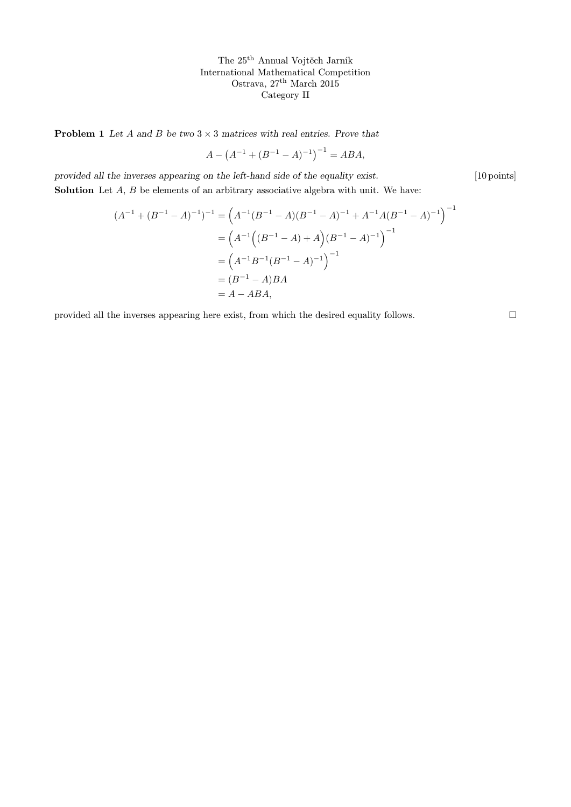The 25th Annual Vojtěch Jarník International Mathematical Competition Ostrava, 27th March 2015 Category II

**Problem 1** Let A and B be two  $3 \times 3$  matrices with real entries. Prove that

$$
A - (A^{-1} + (B^{-1} - A)^{-1})^{-1} = ABA,
$$

provided all the inverses appearing on the left-hand side of the equality exist. [10 points] Solution Let A, B be elements of an arbitrary associative algebra with unit. We have:

$$
(A^{-1} + (B^{-1} - A)^{-1})^{-1} = (A^{-1}(B^{-1} - A)(B^{-1} - A)^{-1} + A^{-1}A(B^{-1} - A)^{-1})^{-1}
$$
  
=  $(A^{-1}((B^{-1} - A) + A)(B^{-1} - A)^{-1})^{-1}$   
=  $(A^{-1}B^{-1}(B^{-1} - A)^{-1})^{-1}$   
=  $(B^{-1} - A)BA$   
=  $A - ABA$ ,

provided all the inverses appearing here exist, from which the desired equality follows.  $\hfill \Box$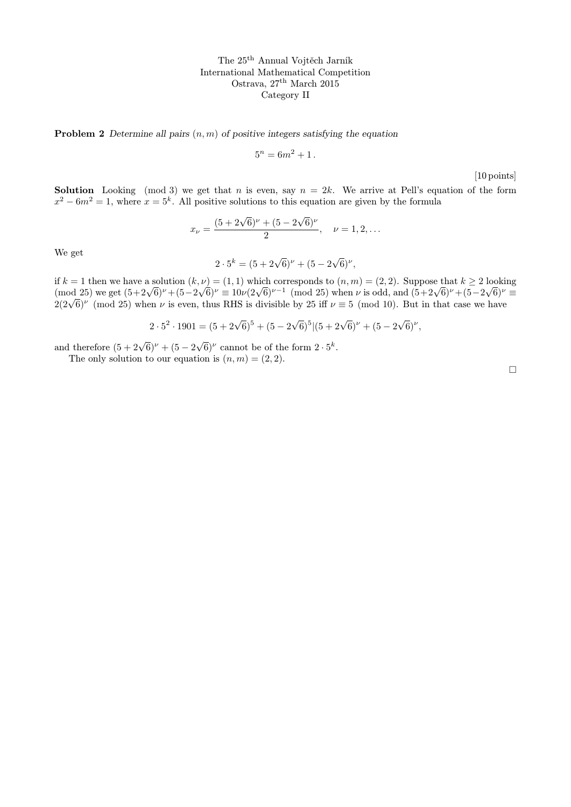The 25th Annual Vojtěch Jarník International Mathematical Competition Ostrava, 27th March 2015 Category II

**Problem 2** Determine all pairs  $(n, m)$  of positive integers satisfying the equation

$$
5^n = 6m^2 + 1.
$$

[10 points]

**Solution** Looking (mod 3) we get that n is even, say  $n = 2k$ . We arrive at Pell's equation of the form  $x^2 - 6m^2 = 1$ , where  $x = 5^k$ . All positive solutions to this equation are given by the formula

$$
x_{\nu} = \frac{(5 + 2\sqrt{6})^{\nu} + (5 - 2\sqrt{6})^{\nu}}{2}, \quad \nu = 1, 2, \dots
$$

We get

$$
2 \cdot 5^{k} = (5 + 2\sqrt{6})^{\nu} + (5 - 2\sqrt{6})^{\nu},
$$

if  $k = 1$  then we have a solution  $(k, \nu) = (1, 1)$  which corresponds to  $(n, m) = (2, 2)$ . Suppose that  $k \ge 2$  looking If  $\kappa = 1$  then we have a solution  $(\kappa, \nu) = (1, 1)$  which corresponds to  $(n, m) = (2, 2)$ . Suppose that  $\kappa \ge 2$  looking<br>(mod 25) we get  $(5+2\sqrt{6})^{\nu} + (5-2\sqrt{6})^{\nu} \equiv 10\nu(2\sqrt{6})^{\nu-1}$  (mod 25) when  $\nu$  is odd, and  $(5+$ (mod 25) we get  $(3+2\sqrt{6})^r + (3-2\sqrt{6})^r = 10\nu(2\sqrt{6})^r$  (mod 25) when  $\nu$  is odd, and  $(3+2\sqrt{6})^r + (3-2\sqrt{6})^r$ <br> $2(2\sqrt{6})^{\nu}$  (mod 25) when  $\nu$  is even, thus RHS is divisible by 25 iff  $\nu \equiv 5 \pmod{10}$ . But in that cas

$$
2 \cdot 5^2 \cdot 1901 = (5 + 2\sqrt{6})^5 + (5 - 2\sqrt{6})^5 | (5 + 2\sqrt{6})^{\nu} + (5 - 2\sqrt{6})^{\nu},
$$

and therefore  $(5 + 2\sqrt{6})^{\nu} + (5 - 2\sqrt{6})^{\nu}$  cannot be of the form  $2 \cdot 5^k$ .

The only solution to our equation is  $(n, m) = (2, 2)$ .

 $\Box$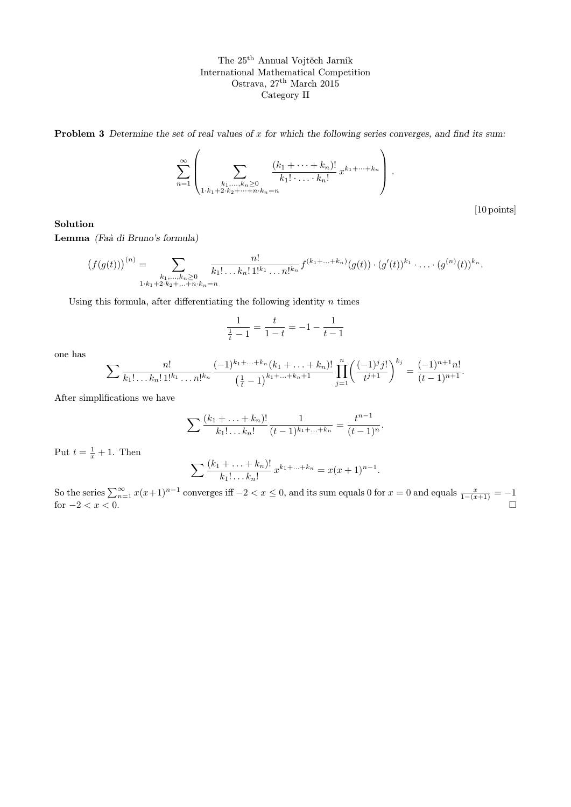The 25th Annual Vojtěch Jarník International Mathematical Competition Ostrava, 27<sup>th</sup> March 2015 Category II

**Problem 3** Determine the set of real values of  $x$  for which the following series converges, and find its sum:

$$
\sum_{n=1}^{\infty} \left( \sum_{\substack{k_1,\ldots,k_n \geq 0 \\ 1 \cdot k_1 + 2 \cdot k_2 + \cdots + n \cdot k_n = n}} \frac{(k_1 + \cdots + k_n)!}{k_1! \cdot \ldots \cdot k_n!} x^{k_1 + \cdots + k_n} \right).
$$

[10 points]

## Solution

Lemma (Faà di Bruno's formula)

$$
(f(g(t)))^{(n)} = \sum_{\substack{k_1,\ldots,k_n \geq 0 \\ 1 \cdot k_1 + 2 \cdot k_2 + \ldots + n \cdot k_n = n}} \frac{n!}{k_1! \ldots k_n! \, 1!^{k_1} \ldots n!^{k_n}} f^{(k_1 + \ldots + k_n)}(g(t)) \cdot (g'(t))^{k_1} \cdot \ldots \cdot (g^{(n)}(t))^{k_n}.
$$

Using this formula, after differentiating the following identity  $n$  times

$$
\frac{1}{\frac{1}{t}-1} = \frac{t}{1-t} = -1 - \frac{1}{t-1}
$$

one has

$$
\sum \frac{n!}{k_1! \dots k_n! \, 1!^{k_1} \dots n!^{k_n}} \frac{(-1)^{k_1 + \dots + k_n} (k_1 + \dots + k_n)!}{\left(\frac{1}{t} - 1\right)^{k_1 + \dots + k_n + 1}} \prod_{j=1}^n \left(\frac{(-1)^j j!}{t^{j+1}}\right)^{k_j} = \frac{(-1)^{n+1} n!}{(t-1)^{n+1}}.
$$

After simplifications we have

$$
\sum \frac{(k_1 + \ldots + k_n)!}{k_1! \ldots k_n!} \frac{1}{(t-1)^{k_1 + \ldots + k_n}} = \frac{t^{n-1}}{(t-1)^n}.
$$

Put  $t = \frac{1}{x} + 1$ . Then

$$
\sum \frac{(k_1 + \ldots + k_n)!}{k_1! \ldots k_n!} x^{k_1 + \ldots + k_n} = x(x+1)^{n-1}.
$$

So the series  $\sum_{n=1}^{\infty} x(x+1)^{n-1}$  converges iff  $-2 < x \le 0$ , and its sum equals 0 for  $x = 0$  and equals  $\frac{x}{1-(x+1)} = -1$ for  $-2 < x < 0$ .